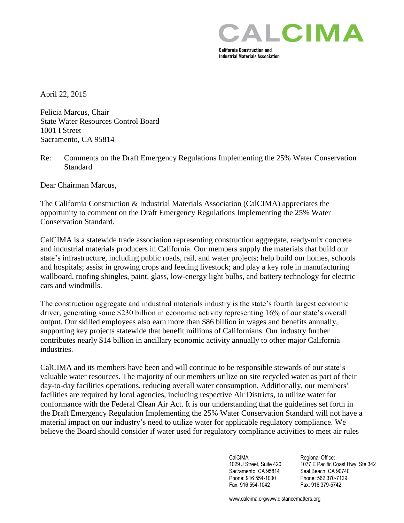

**Industrial Materials Association** 

April 22, 2015

Felicia Marcus, Chair State Water Resources Control Board 1001 I Street Sacramento, CA 95814

Re: Comments on the Draft Emergency Regulations Implementing the 25% Water Conservation Standard

Dear Chairman Marcus,

The California Construction & Industrial Materials Association (CalCIMA) appreciates the opportunity to comment on the Draft Emergency Regulations Implementing the 25% Water Conservation Standard.

CalCIMA is a statewide trade association representing construction aggregate, ready-mix concrete and industrial materials producers in California. Our members supply the materials that build our state's infrastructure, including public roads, rail, and water projects; help build our homes, schools and hospitals; assist in growing crops and feeding livestock; and play a key role in manufacturing wallboard, roofing shingles, paint, glass, low-energy light bulbs, and battery technology for electric cars and windmills.

The construction aggregate and industrial materials industry is the state's fourth largest economic driver, generating some \$230 billion in economic activity representing 16% of our state's overall output. Our skilled employees also earn more than \$86 billion in wages and benefits annually, supporting key projects statewide that benefit millions of Californians. Our industry further contributes nearly \$14 billion in ancillary economic activity annually to other major California industries.

CalCIMA and its members have been and will continue to be responsible stewards of our state's valuable water resources. The majority of our members utilize on site recycled water as part of their day-to-day facilities operations, reducing overall water consumption. Additionally, our members' facilities are required by local agencies, including respective Air Districts, to utilize water for conformance with the Federal Clean Air Act. It is our understanding that the guidelines set forth in the Draft Emergency Regulation Implementing the 25% Water Conservation Standard will not have a material impact on our industry's need to utilize water for applicable regulatory compliance. We believe the Board should consider if water used for regulatory compliance activities to meet air rules

> CalCIMA<br>
> 1029 J Street. Suite 420 1077 E Pacific C Sacramento, CA 95814 Phone: 916 554-1000 Phone: 562 370-7129

1077 E Pacific Coast Hwy, Ste 342<br>Seal Beach, CA 90740 Fax: 916 554-1042 Fax: 916 379-5742